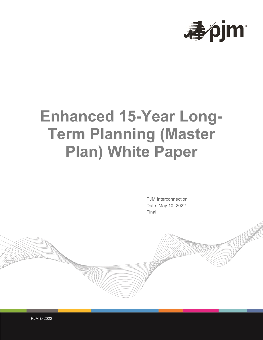

# **Enhanced 15-Year Long-Term Planning (Master Plan) White Paper**

PJM Interconnection Date: May 10, 2022 Final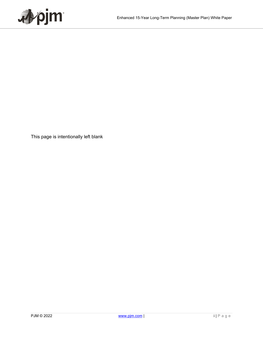

This page is intentionally left blank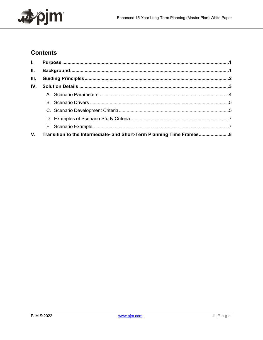

# **Contents**

| $\mathbf{L}$ |                                                                     |  |
|--------------|---------------------------------------------------------------------|--|
| II.          |                                                                     |  |
| III.         |                                                                     |  |
| IV.          |                                                                     |  |
|              |                                                                     |  |
|              |                                                                     |  |
|              |                                                                     |  |
|              |                                                                     |  |
|              |                                                                     |  |
| $V_{\cdot}$  | Transition to the Intermediate- and Short-Term Planning Time Frames |  |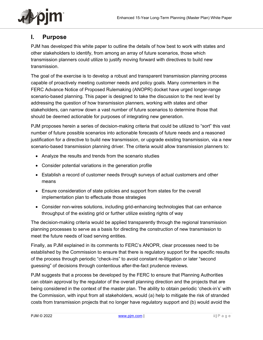

# <span id="page-3-0"></span>**I. Purpose**

PJM has developed this white paper to outline the details of how best to work with states and other stakeholders to identify, from among an array of future scenarios, those which transmission planners could utilize to justify moving forward with directives to build new transmission.

The goal of the exercise is to develop a robust and transparent transmission planning process capable of proactively meeting customer needs and policy goals. Many commenters in the FERC Advance Notice of Proposed Rulemaking (ANOPR) docket have urged longer-range scenario-based planning. This paper is designed to take the discussion to the next level by addressing the question of how transmission planners, working with states and other stakeholders, can narrow down a vast number of future scenarios to determine those that should be deemed actionable for purposes of integrating new generation.

PJM proposes herein a series of decision-making criteria that could be utilized to "sort" this vast number of future possible scenarios into actionable forecasts of future needs and a reasoned justification for a directive to build new transmission, or upgrade existing transmission, via a new scenario-based transmission planning driver. The criteria would allow transmission planners to:

- Analyze the results and trends from the scenario studies
- Consider potential variations in the generation profile
- Establish a record of customer needs through surveys of actual customers and other means
- Ensure consideration of state policies and support from states for the overall implementation plan to effectuate those strategies
- Consider non-wires solutions, including grid-enhancing technologies that can enhance throughput of the existing grid or further utilize existing rights of way

The decision-making criteria would be applied transparently through the regional transmission planning processes to serve as a basis for directing the construction of new transmission to meet the future needs of load serving entities.

Finally, as PJM explained in its comments to FERC's ANOPR, clear processes need to be established by the Commission to ensure that there is regulatory support for the specific results of the process through periodic "check-ins" to avoid constant re-litigation or later "second guessing" of decisions through contentious after-the-fact prudence reviews.

PJM suggests that a process be developed by the FERC to ensure that Planning Authorities can obtain approval by the regulator of the overall planning direction and the projects that are being considered in the context of the master plan. The ability to obtain periodic 'check-in's' with the Commission, with input from all stakeholders, would (a) help to mitigate the risk of stranded costs from transmission projects that no longer have regulatory support and (b) would avoid the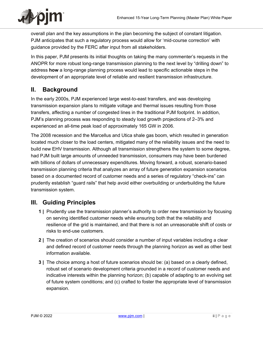

overall plan and the key assumptions in the plan becoming the subject of constant litigation. PJM anticipates that such a regulatory process would allow for 'mid-course correction' with guidance provided by the FERC after input from all stakeholders.

In this paper, PJM presents its initial thoughts on taking the many commenter's requests in the ANOPR for more robust long-range transmission planning to the next level by "drilling down" to address **how** a long-range planning process would lead to specific actionable steps in the development of an appropriate level of reliable and resilient transmission infrastructure.

# <span id="page-4-0"></span>**II. Background**

In the early 2000s, PJM experienced large west-to-east transfers, and was developing transmission expansion plans to mitigate voltage and thermal issues resulting from those transfers, affecting a number of congested lines in the traditional PJM footprint. In addition, PJM's planning process was responding to steady load growth projections of 2–3% and experienced an all-time peak load of approximately 165 GW in 2006.

The 2008 recession and the Marcellus and Utica shale gas boom, which resulted in generation located much closer to the load centers, mitigated many of the reliability issues and the need to build new EHV transmission. Although all transmission strengthens the system to some degree, had PJM built large amounts of unneeded transmission, consumers may have been burdened with billions of dollars of unnecessary expenditures. Moving forward, a robust, scenario-based transmission planning criteria that analyzes an array of future generation expansion scenarios based on a documented record of customer needs and a series of regulatory "check-ins" can prudently establish "guard rails" that help avoid either overbuilding or underbuilding the future transmission system.

# <span id="page-4-1"></span>**III. Guiding Principles**

- **1 |** Prudently use the transmission planner's authority to order new transmission by focusing on serving identified customer needs while ensuring both that the reliability and resilience of the grid is maintained, and that there is not an unreasonable shift of costs or risks to end-use customers.
- **2 |** The creation of scenarios should consider a number of input variables including a clear and defined record of customer needs through the planning horizon as well as other best information available.
- **3 |** The choice among a host of future scenarios should be: (a) based on a clearly defined, robust set of scenario development criteria grounded in a record of customer needs and indicative interests within the planning horizon; (b) capable of adapting to an evolving set of future system conditions; and (c) crafted to foster the appropriate level of transmission expansion.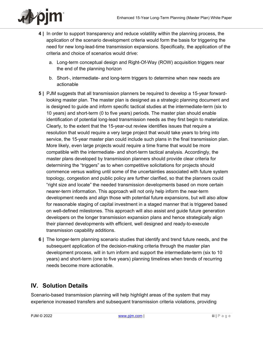

- **4 |** In order to support transparency and reduce volatility within the planning process, the application of the scenario development criteria would form the basis for triggering the need for new long-lead-time transmission expansions. Specifically, the application of the criteria and choice of scenarios would drive:
	- a. Long-term conceptual design and Right-Of-Way (ROW) acquisition triggers near the end of the planning horizon
	- b. Short-, intermediate- and long-term triggers to determine when new needs are actionable
- **5 |** PJM suggests that all transmission planners be required to develop a 15-year forwardlooking master plan. The master plan is designed as a strategic planning document and is designed to guide and inform specific tactical studies at the intermediate-term (six to 10 years) and short-term (0 to five years) periods. The master plan should enable identification of potential long-lead transmission needs as they first begin to materialize. Clearly, to the extent that the 15-year-out review identifies issues that require a resolution that would require a very large project that would take years to bring into service, the 15-year master plan could include such plans in the final transmission plan. More likely, even large projects would require a time frame that would be more compatible with the intermediate- and short-term tactical analysis. Accordingly, the master plans developed by transmission planners should provide clear criteria for determining the "triggers" as to when competitive solicitations for projects should commence versus waiting until some of the uncertainties associated with future system topology, congestion and public policy are further clarified, so that the planners could "right size and locate" the needed transmission developments based on more certain nearer-term information. This approach will not only help inform the near-term development needs and align those with potential future expansions, but will also allow for reasonable staging of capital investment in a staged manner that is triggered based on well-defined milestones. This approach will also assist and guide future generation developers on the longer transmission expansion plans and hence strategically align their planned developments with efficient, well designed and ready-to-execute transmission capability additions.
- **6 |** The longer-term planning scenario studies that identify and trend future needs, and the subsequent application of the decision-making criteria through the master plan development process, will in turn inform and support the intermediate-term (six to 10 years) and short-term (one to five years) planning timelines when trends of recurring needs become more actionable.

# <span id="page-5-0"></span>**IV. Solution Details**

Scenario-based transmission planning will help highlight areas of the system that may experience increased transfers and subsequent transmission criteria violations, providing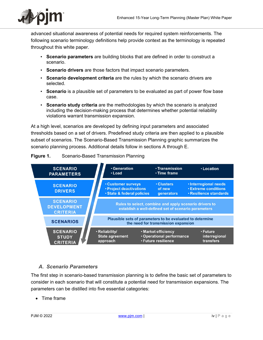

advanced situational awareness of potential needs for required system reinforcements. The following scenario terminology definitions help provide context as the terminology is repeated throughout this white paper.

- **Scenario parameters** are building blocks that are defined in order to construct a scenario.
- **Scenario drivers** are those factors that impact scenario parameters.
- **Scenario development criteria** are the rules by which the scenario drivers are selected.
- **Scenario** is a plausible set of parameters to be evaluated as part of power flow base case.
- **Scenario study criteria** are the methodologies by which the scenario is analyzed including the decision-making process that determines whether potential reliability violations warrant transmission expansion.

At a high level, scenarios are developed by defining input parameters and associated thresholds based on a set of drivers. Predefined study criteria are then applied to a plausible subset of scenarios. The Scenario-Based Transmission Planning graphic summarizes the scenario planning process. Additional details follow in sections A through E.

#### **· Generation SCENARIO** · Transmission **· Location** • Load · Time frame **PARAMETERS Customer surveys Clusters** · Interregional needs **SCENARIO** · Project deactivations **· Extreme conditions** of new **DRIVERS** · State & federal policies **· Resilience standards** generators **SCENARIO** Rules to select, combine and apply scenario drivers to **DEVELOPMENT** establish a well-defined set of scenario parameters **CRITERIA** Plausible sets of parameters to be evaluated to determine **SCENARIOS** the need for transmission expansion **SCENARIO** · Reliability/ · Market efficiency • Future · Operational performance interregional **State agreement STUDY** · Future resilience transfers approach **CRITERIA**

#### **Figure 1.** Scenario-Based Transmission Planning

#### <span id="page-6-0"></span>*A. Scenario Parameters*

The first step in scenario-based transmission planning is to define the basic set of parameters to consider in each scenario that will constitute a potential need for transmission expansions. The parameters can be distilled into five essential categories:

• Time frame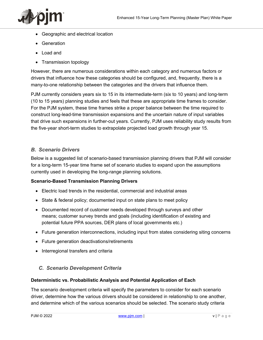

- Geographic and electrical location
- Generation
- Load and
- Transmission topology

However, there are numerous considerations within each category and numerous factors or drivers that influence how these categories should be configured, and, frequently, there is a many-to-one relationship between the categories and the drivers that influence them.

PJM currently considers years six to 15 in its intermediate-term (six to 10 years) and long-term (10 to 15 years) planning studies and feels that these are appropriate time frames to consider. For the PJM system, these time frames strike a proper balance between the time required to construct long-lead-time transmission expansions and the uncertain nature of input variables that drive such expansions in further-out years. Currently, PJM uses reliability study results from the five-year short-term studies to extrapolate projected load growth through year 15.

#### *B. Scenario Drivers*

Below is a suggested list of scenario-based transmission planning drivers that PJM will consider for a long-term 15-year time frame set of scenario studies to expand upon the assumptions currently used in developing the long-range planning solutions.

#### **Scenario-Based Transmission Planning Drivers**

- Electric load trends in the residential, commercial and industrial areas
- State & federal policy; documented input on state plans to meet policy
- Documented record of customer needs developed through surveys and other means; customer survey trends and goals (including identification of existing and potential future PPA sources, DER plans of local governments etc.)
- Future generation interconnections, including input from states considering siting concerns
- Future generation deactivations/retirements
- Interregional transfers and criteria

#### <span id="page-7-0"></span>*C. Scenario Development Criteria*

#### **Deterministic vs. Probabilistic Analysis and Potential Application of Each**

The scenario development criteria will specify the parameters to consider for each scenario driver, determine how the various drivers should be considered in relationship to one another, and determine which of the various scenarios should be selected. The scenario study criteria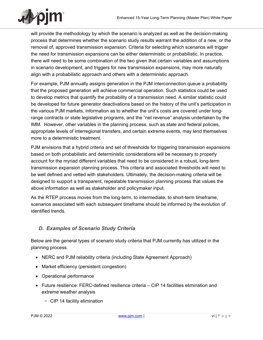

will provide the methodology by which the scenario is analyzed as well as the decision-making process that determines whether the scenario study results warrant the addition of a new, or the removal of, approved transmission expansion. Criteria for selecting which scenarios will trigger the need for transmission expansions can be either deterministic or probabilistic. In practice, there will need to be some combination of the two given that certain variables and assumptions in scenario development, and triggers for new transmission expansions, may more naturally align with a probabilistic approach and others with a deterministic approach.

For example, PJM annually assigns generation in the PJM interconnection queue a probability that the proposed generation will achieve commercial operation. Such statistics could be used to develop metrics that quantify the probability of a transmission need. A similar statistic could be developed for future generator deactivations based on the history of the unit's participation in the various PJM markets, information as to whether the unit's costs are covered under longrange contracts or state legislative programs, and the "net revenue" analysis undertaken by the IMM. However, other variables in the planning process, such as state and federal policies, appropriate levels of interregional transfers, and certain extreme events, may lend themselves more to a deterministic treatment.

PJM envisions that a hybrid criteria and set of thresholds for triggering transmission expansions based on both probabilistic and deterministic considerations will be necessary to properly account for the myriad different variables that need to be considered in a robust, long-term transmission expansion planning process. This criteria and associated thresholds will need to be well defined and vetted with stakeholders. Ultimately, the decision-making criteria will be designed to support a transparent, repeatable transmission planning process that values the above information as well as stakeholder and policymaker input.

As the RTEP process moves from the long-term, to intermediate, to short-term timeframe, scenarios associated with each subsequent timeframe should be informed by the evolution of identified trends.

### *D. Examples of Scenario Study Criteria*

Below are the general types of scenario study criteria that PJM currently has utilized in the planning process.

- NERC and PJM reliability criteria (including State Agreement Approach)
- Market efficiency (persistent congestion)
- Operational performance
- Future resilience: FERC-defined resilience criteria CIP 14 facilities elimination and extreme weather analysis
	- − CIP 14 facility elimination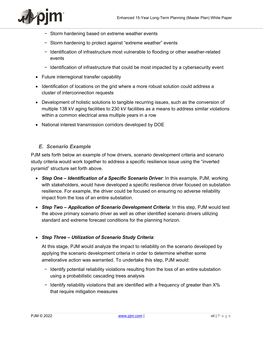

- − Storm hardening based on extreme weather events
- − Storm hardening to protect against "extreme weather" events
- − Identification of infrastructure most vulnerable to flooding or other weather-related events
- − Identification of infrastructure that could be most impacted by a cybersecurity event
- Future interregional transfer capability
- Identification of locations on the grid where a more robust solution could address a cluster of interconnection requests
- Development of holistic solutions to tangible recurring issues, such as the conversion of multiple 138 kV aging facilities to 230 kV facilities as a means to address similar violations within a common electrical area multiple years in a row
- National interest transmission corridors developed by DOE

#### <span id="page-9-0"></span>*E. Scenario Example*

PJM sets forth below an example of how drivers, scenario development criteria and scenario study criteria would work together to address a specific resilience issue using the "inverted pyramid" structure set forth above.

- *Step One Identification of a Specific Scenario Driver*: In this example, PJM, working with stakeholders, would have developed a specific resilience driver focused on substation resilience. For example, the driver could be focused on ensuring no adverse reliability impact from the loss of an entire substation.
- *Step Two Application of Scenario Development Criteria*: In this step, PJM would test the above primary scenario driver as well as other identified scenario drivers utilizing standard and extreme forecast conditions for the planning horizon.

#### • *Step Three – Utilization of Scenario Study Criteria*:

At this stage, PJM would analyze the impact to reliability on the scenario developed by applying the scenario development criteria in order to determine whether some ameliorative action was warranted. To undertake this step, PJM would:

- − Identify potential reliability violations resulting from the loss of an entire substation using a probabilistic cascading trees analysis
- − Identify reliability violations that are identified with a frequency of greater than X% that require mitigation measures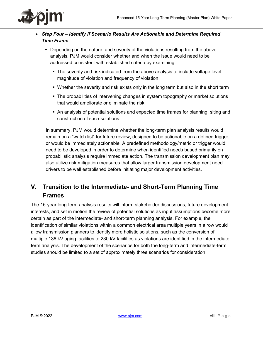

#### **• Step Four – Identify if Scenario Results Are Actionable and Determine Required** *Time Frame*:

- − Depending on the nature and severity of the violations resulting from the above analysis, PJM would consider whether and when the issue would need to be addressed consistent with established criteria by examining:
	- **The severity and risk indicated from the above analysis to include voltage level,** magnitude of violation and frequency of violation
	- Whether the severity and risk exists only in the long term but also in the short term
	- The probabilities of intervening changes in system topography or market solutions that would ameliorate or eliminate the risk
	- **An analysis of potential solutions and expected time frames for planning, siting and** construction of such solutions

In summary, PJM would determine whether the long-term plan analysis results would remain on a "watch list" for future review, designed to be actionable on a defined trigger, or would be immediately actionable. A predefined methodology/metric or trigger would need to be developed in order to determine when identified needs based primarily on probabilistic analysis require immediate action. The transmission development plan may also utilize risk mitigation measures that allow larger transmission development need drivers to be well established before initiating major development activities.

# <span id="page-10-0"></span>**V. Transition to the Intermediate- and Short-Term Planning Time Frames**

The 15-year long-term analysis results will inform stakeholder discussions, future development interests, and set in motion the review of potential solutions as input assumptions become more certain as part of the intermediate- and short-term planning analysis. For example, the identification of similar violations within a common electrical area multiple years in a row would allow transmission planners to identify more holistic solutions, such as the conversion of multiple 138 kV aging facilities to 230 kV facilities as violations are identified in the intermediateterm analysis. The development of the scenarios for both the long-term and intermediate-term studies should be limited to a set of approximately three scenarios for consideration.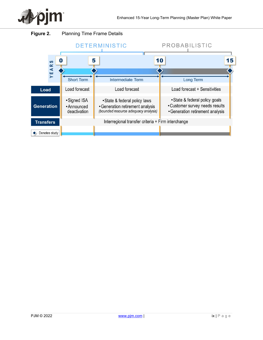